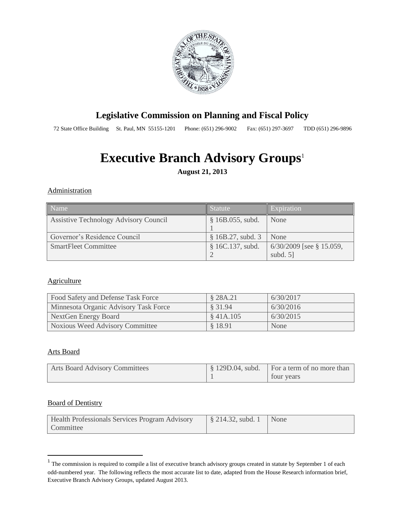

# **Legislative Commission on Planning and Fiscal Policy**

72 State Office Building St. Paul, MN 55155-1201 Phone: (651) 296-9002 Fax: (651) 297-3697 TDD (651) 296-9896

# **Executive Branch Advisory Groups<sup>1</sup>**

**August 21, 2013**

#### **Administration**

| l Name                                | Statute            | Expiration                                |
|---------------------------------------|--------------------|-------------------------------------------|
| Assistive Technology Advisory Council | $$16B.055$ , subd. | None                                      |
| Governor's Residence Council          | § 16B.27, subd.3   | None                                      |
| <b>SmartFleet Committee</b>           | \$16C.137, subd.   | $6/30/2009$ [see § 15.059,<br>subd. $5$ ] |

#### **Agriculture**

| Food Safety and Defense Task Force    | § 28A.21  | 6/30/2017 |
|---------------------------------------|-----------|-----------|
| Minnesota Organic Advisory Task Force | \$ 31.94  | 6/30/2016 |
| NextGen Energy Board                  | \$41A.105 | 6/30/2015 |
| Noxious Weed Advisory Committee       | § 18.91   | None      |

#### Arts Board

| <b>Arts Board Advisory Committees</b> | $\frac{1}{2}$ \$ 129D.04, subd. For a term of no more than |
|---------------------------------------|------------------------------------------------------------|
|                                       | tour years                                                 |

#### Board of Dentistry

| Health Professionals Services Program Advisory |  |
|------------------------------------------------|--|
| Committee                                      |  |

<sup>&</sup>lt;sup>1</sup> The commission is required to compile a list of executive branch advisory groups created in statute by September 1 of each odd-numbered year. The following reflects the most accurate list to date, adapted from the House Research information brief, Executive Branch Advisory Groups, updated August 2013.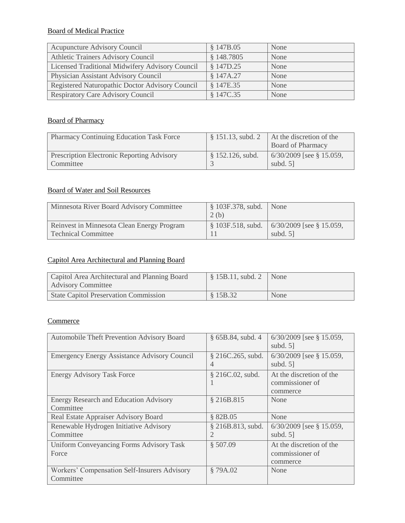# Board of Medical Practice

| <b>Acupuncture Advisory Council</b>             | \$147B.05  | None |
|-------------------------------------------------|------------|------|
| Athletic Trainers Advisory Council              | \$148.7805 | None |
| Licensed Traditional Midwifery Advisory Council | § 147D.25  | None |
| Physician Assistant Advisory Council            | § 147A.27  | None |
| Registered Naturopathic Doctor Advisory Council | § 147E.35  | None |
| <b>Respiratory Care Advisory Council</b>        | § 147C.35  | None |

## Board of Pharmacy

| <b>Pharmacy Continuing Education Task Force</b>                | $$151.13$ , subd. 2 | At the discretion of the<br><b>Board of Pharmacy</b> |
|----------------------------------------------------------------|---------------------|------------------------------------------------------|
| <b>Prescription Electronic Reporting Advisory</b><br>Committee | $$152.126$ , subd.  | $6/30/2009$ [see § 15.059,<br>subd. $51$             |

# Board of Water and Soil Resources

| Minnesota River Board Advisory Committee                                 | $\frac{1}{2}$ \$ 103F.378, subd. None<br>2(b) |                                                                       |
|--------------------------------------------------------------------------|-----------------------------------------------|-----------------------------------------------------------------------|
| Reinvest in Minnesota Clean Energy Program<br><b>Technical Committee</b> |                                               | $\frac{1}{2}$ 103F.518, subd. 6/30/2009 [see § 15.059,<br>subd. $5$ ] |

# Capitol Area Architectural and Planning Board

| Capitol Area Architectural and Planning Board<br><b>Advisory Committee</b> | $\frac{1}{2}$ \$ 15B.11, subd. 2 None |      |
|----------------------------------------------------------------------------|---------------------------------------|------|
| <b>State Capitol Preservation Commission</b>                               | \$15B.32                              | None |

# **Commerce**

| Automobile Theft Prevention Advisory Board                 | $§$ 65B.84, subd. 4                 | $6/30/2009$ [see § 15.059,<br>subd. $5$ ]               |
|------------------------------------------------------------|-------------------------------------|---------------------------------------------------------|
| <b>Emergency Energy Assistance Advisory Council</b>        | § 216C.265, subd.<br>4              | $6/30/2009$ [see § 15.059,<br>subd. $5$ ]               |
| <b>Energy Advisory Task Force</b>                          | § 216C.02, subd.                    | At the discretion of the<br>commissioner of<br>commerce |
| <b>Energy Research and Education Advisory</b><br>Committee | § 216B.815                          | None                                                    |
| Real Estate Appraiser Advisory Board                       | § 82B.05                            | None                                                    |
| Renewable Hydrogen Initiative Advisory<br>Committee        | § 216B.813, subd.<br>$\overline{2}$ | $6/30/2009$ [see § 15.059,<br>subd. $5$ ]               |
| Uniform Conveyancing Forms Advisory Task<br>Force          | \$507.09                            | At the discretion of the<br>commissioner of<br>commerce |
| Workers' Compensation Self-Insurers Advisory<br>Committee  | §79A.02                             | None                                                    |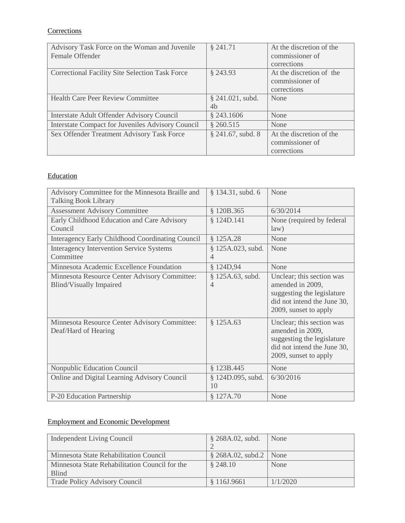# **Corrections**

| Advisory Task Force on the Woman and Juvenile            | § 241.71            | At the discretion of the |
|----------------------------------------------------------|---------------------|--------------------------|
| Female Offender                                          |                     | commissioner of          |
|                                                          |                     | corrections              |
| <b>Correctional Facility Site Selection Task Force</b>   | $§$ 243.93          | At the discretion of the |
|                                                          |                     | commissioner of          |
|                                                          |                     | corrections              |
| <b>Health Care Peer Review Committee</b>                 | $§$ 241.021, subd.  | None                     |
|                                                          | 4 <sub>b</sub>      |                          |
| Interstate Adult Offender Advisory Council               | \$243.1606          | None                     |
| <b>Interstate Compact for Juveniles Advisory Council</b> | \$260.515           | None                     |
| Sex Offender Treatment Advisory Task Force               | $§$ 241.67, subd. 8 | At the discretion of the |
|                                                          |                     | commissioner of          |
|                                                          |                     | corrections              |

# **Education**

| Advisory Committee for the Minnesota Braille and<br><b>Talking Book Library</b> | § 134.31, subd. 6                   | None                                                                                                                                |
|---------------------------------------------------------------------------------|-------------------------------------|-------------------------------------------------------------------------------------------------------------------------------------|
| <b>Assessment Advisory Committee</b>                                            | § 120B.365                          | 6/30/2014                                                                                                                           |
| Early Childhood Education and Care Advisory<br>Council                          | § 124D.141                          | None (required by federal<br>law)                                                                                                   |
| Interagency Early Childhood Coordinating Council                                | \$125A.28                           | None                                                                                                                                |
| <b>Interagency Intervention Service Systems</b><br>Committee                    | § 125A.023, subd.<br>$\overline{4}$ | None                                                                                                                                |
| Minnesota Academic Excellence Foundation                                        | § 124D,94                           | None                                                                                                                                |
| Minnesota Resource Center Advisory Committee:<br><b>Blind/Visually Impaired</b> | \$125A.63, subd.<br>$\overline{4}$  | Unclear; this section was<br>amended in 2009,<br>suggesting the legislature<br>did not intend the June 30,<br>2009, sunset to apply |
| Minnesota Resource Center Advisory Committee:<br>Deaf/Hard of Hearing           | \$125A.63                           | Unclear; this section was<br>amended in 2009,<br>suggesting the legislature<br>did not intend the June 30,<br>2009, sunset to apply |
| Nonpublic Education Council                                                     | § 123B.445                          | None                                                                                                                                |
| Online and Digital Learning Advisory Council                                    | § 124D.095, subd.<br>10             | 6/30/2016                                                                                                                           |
| P-20 Education Partnership                                                      | § 127A.70                           | None                                                                                                                                |

# Employment and Economic Development

| Independent Living Council                     | \$268A.02, subd.            | None     |
|------------------------------------------------|-----------------------------|----------|
| Minnesota State Rehabilitation Council         | $\S$ 268A.02, subd.2   None |          |
| Minnesota State Rehabilitation Council for the | \$248.10                    | None     |
| <b>Blind</b>                                   |                             |          |
| Trade Policy Advisory Council                  | \$116J.9661                 | 1/1/2020 |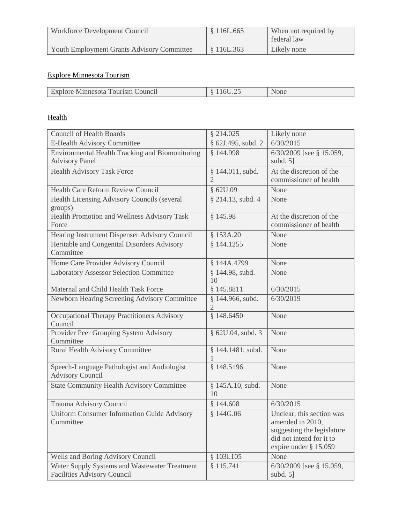| Workforce Development Council              | \$116L.665 | When not required by<br>federal law |
|--------------------------------------------|------------|-------------------------------------|
| Youth Employment Grants Advisory Committee | \$116L.363 | Likely none                         |

# Explore Minnesota Tourism

| <b>CONTRACTOR</b><br>'ounci<br>1 011 T<br>sm<br><b>EVITHILESOR</b><br>$\cdots$ |  |
|--------------------------------------------------------------------------------|--|

# Health

| <b>Council of Health Boards</b>                                                     | § 214.025                          | Likely none                                                                                                                      |
|-------------------------------------------------------------------------------------|------------------------------------|----------------------------------------------------------------------------------------------------------------------------------|
| E-Health Advisory Committee                                                         | § 62J.495, subd. 2                 | 6/30/2015                                                                                                                        |
| Environmental Health Tracking and Biomonitoring<br><b>Advisory Panel</b>            | § 144.998                          | 6/30/2009 [see § 15.059,<br>subd. $5$ ]                                                                                          |
| Health Advisory Task Force                                                          | § 144.011, subd.<br>$\overline{2}$ | At the discretion of the<br>commissioner of health                                                                               |
| <b>Health Care Reform Review Council</b>                                            | § 62U.09                           | None                                                                                                                             |
| Health Licensing Advisory Councils (several<br>groups)                              | § 214.13, subd. 4                  | None                                                                                                                             |
| Health Promotion and Wellness Advisory Task<br>Force                                | § 145.98                           | At the discretion of the<br>commissioner of health                                                                               |
| Hearing Instrument Dispenser Advisory Council                                       | § 153A.20                          | None                                                                                                                             |
| Heritable and Congenital Disorders Advisory<br>Committee                            | § 144.1255                         | None                                                                                                                             |
| Home Care Provider Advisory Council                                                 | § 144A.4799                        | None                                                                                                                             |
| <b>Laboratory Assessor Selection Committee</b>                                      | § 144.98, subd.<br>10              | None                                                                                                                             |
| Maternal and Child Health Task Force                                                | § 145.8811                         | 6/30/2015                                                                                                                        |
| Newborn Hearing Screening Advisory Committee                                        | § 144.966, subd.<br>2              | 6/30/2019                                                                                                                        |
| Occupational Therapy Practitioners Advisory<br>Council                              | § 148.6450                         | None                                                                                                                             |
| Provider Peer Grouping System Advisory<br>Committee                                 | § 62U.04, subd. 3                  | None                                                                                                                             |
| Rural Health Advisory Committee                                                     | § 144.1481, subd.                  | None                                                                                                                             |
| Speech-Language Pathologist and Audiologist<br><b>Advisory Council</b>              | § 148.5196                         | None                                                                                                                             |
| <b>State Community Health Advisory Committee</b>                                    | § 145A.10, subd.<br>10             | None                                                                                                                             |
| Trauma Advisory Council                                                             | § 144.608                          | 6/30/2015                                                                                                                        |
| Uniform Consumer Information Guide Advisory<br>Committee                            | § 144G.06                          | Unclear; this section was<br>amended in 2010,<br>suggesting the legislature<br>did not intend for it to<br>expire under § 15.059 |
| Wells and Boring Advisory Council                                                   | § 103I.105                         | None                                                                                                                             |
| Water Supply Systems and Wastewater Treatment<br><b>Facilities Advisory Council</b> | § 115.741                          | 6/30/2009 [see § 15.059,<br>subd. 5]                                                                                             |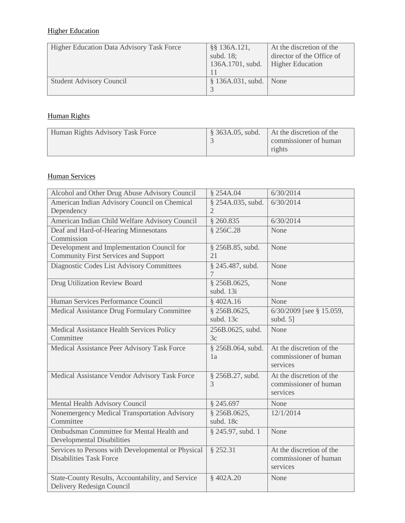# **Higher Education**

| <b>Higher Education Data Advisory Task Force</b> | §§ 136A.121,<br>subd. 18;<br>136A.1701, subd. | At the discretion of the<br>director of the Office of<br><b>Higher Education</b> |
|--------------------------------------------------|-----------------------------------------------|----------------------------------------------------------------------------------|
| <b>Student Advisory Council</b>                  | $\S$ 136A.031, subd. None                     |                                                                                  |

# Human Rights

| Human Rights Advisory Task Force | $\frac{1}{2}$ \$ 363A.05, subd. | At the discretion of the<br>commissioner of human<br>rights |
|----------------------------------|---------------------------------|-------------------------------------------------------------|
|----------------------------------|---------------------------------|-------------------------------------------------------------|

# Human Services

| Alcohol and Other Drug Abuse Advisory Council                                             | § 254A.04                           | 6/30/2014                                                     |
|-------------------------------------------------------------------------------------------|-------------------------------------|---------------------------------------------------------------|
| American Indian Advisory Council on Chemical<br>Dependency                                | § 254A.035, subd.<br>$\overline{2}$ | 6/30/2014                                                     |
| American Indian Child Welfare Advisory Council                                            | \$260.835                           | 6/30/2014                                                     |
| Deaf and Hard-of-Hearing Minnesotans<br>Commission                                        | § 256C.28                           | None                                                          |
| Development and Implementation Council for<br><b>Community First Services and Support</b> | § 256B.85, subd.<br>21              | None                                                          |
| Diagnostic Codes List Advisory Committees                                                 | § 245.487, subd.                    | None                                                          |
| Drug Utilization Review Board                                                             | § 256B.0625,<br>subd. 13i           | None                                                          |
| Human Services Performance Council                                                        | §402A.16                            | None                                                          |
| Medical Assistance Drug Formulary Committee                                               | § 256B.0625,<br>subd. 13c           | 6/30/2009 [see § 15.059,<br>subd. $5$ ]                       |
| Medical Assistance Health Services Policy<br>Committee                                    | 256B.0625, subd.<br>3c              | None                                                          |
| Medical Assistance Peer Advisory Task Force                                               | § 256B.064, subd.<br>1a             | At the discretion of the<br>commissioner of human<br>services |
| Medical Assistance Vendor Advisory Task Force                                             | § 256B.27, subd.<br>3               | At the discretion of the<br>commissioner of human<br>services |
| Mental Health Advisory Council                                                            | § 245.697                           | None                                                          |
| Nonemergency Medical Transportation Advisory<br>Committee                                 | § 256B.0625,<br>subd. 18c           | 12/1/2014                                                     |
| Ombudsman Committee for Mental Health and<br><b>Developmental Disabilities</b>            | § 245.97, subd. 1                   | None                                                          |
| Services to Persons with Developmental or Physical<br><b>Disabilities Task Force</b>      | § 252.31                            | At the discretion of the<br>commissioner of human<br>services |
| State-County Results, Accountability, and Service<br>Delivery Redesign Council            | §402A.20                            | None                                                          |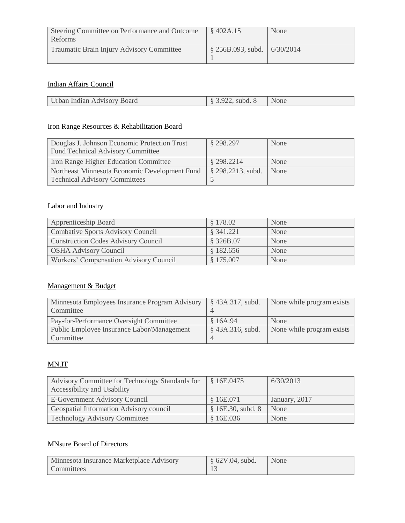| Steering Committee on Performance and Outcome<br><b>Reforms</b> | \$402A.15                                 | None |
|-----------------------------------------------------------------|-------------------------------------------|------|
| Traumatic Brain Injury Advisory Committee                       | $\frac{1}{2}$ \$256B.093, subd. 6/30/2014 |      |

# Indian Affairs Council

| Urban Indian Advisory Board | $\frac{1}{2}$ \$ 3.922, subd. 8 $\blacksquare$ None |  |
|-----------------------------|-----------------------------------------------------|--|
|                             |                                                     |  |

### Iron Range Resources & Rehabilitation Board

| Douglas J. Johnson Economic Protection Trust<br><b>Fund Technical Advisory Committee</b> | § 298.297                        | None |
|------------------------------------------------------------------------------------------|----------------------------------|------|
| Iron Range Higher Education Committee                                                    | § 298.2214                       | None |
| Northeast Minnesota Economic Development Fund                                            | $\frac{1}{2}$ \$ 298.2213, subd. | None |
| <b>Technical Advisory Committees</b>                                                     |                                  |      |

# Labor and Industry

| <b>Apprenticeship Board</b>                   | \$178.02  | None |
|-----------------------------------------------|-----------|------|
| Combative Sports Advisory Council             | § 341.221 | None |
| <b>Construction Codes Advisory Council</b>    | § 326B.07 | None |
| <b>OSHA Advisory Council</b>                  | \$182.656 | None |
| <b>Workers' Compensation Advisory Council</b> | \$175.007 | None |

# Management & Budget

| Minnesota Employees Insurance Program Advisory   § 43A.317, subd.<br>Committee |                    | None while program exists |
|--------------------------------------------------------------------------------|--------------------|---------------------------|
| Pay-for-Performance Oversight Committee                                        | \$16A.94           | None                      |
| Public Employee Insurance Labor/Management                                     | $§$ 43A.316, subd. | None while program exists |
| Committee                                                                      |                    |                           |

# MN.IT

| Advisory Committee for Technology Standards for | § 16E.0475       | 6/30/2013     |
|-------------------------------------------------|------------------|---------------|
| Accessibility and Usability                     |                  |               |
| E-Government Advisory Council                   | § 16E.071        | January, 2017 |
| Geospatial Information Advisory council         | \$16E.30, subd.8 | None          |
| <b>Technology Advisory Committee</b>            | \$16E.036        | None          |

# MNsure Board of Directors

| Minnesota Insurance Marketplace Advisory | $\frac{1}{2}$ § 62V.04, subd. | None |
|------------------------------------------|-------------------------------|------|
| <b>Committees</b>                        |                               |      |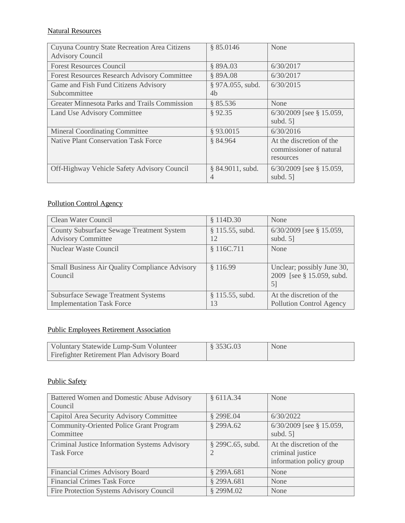# Natural Resources

| Cuyuna Country State Recreation Area Citizens<br><b>Advisory Council</b> | \$85.0146                | None                                                             |
|--------------------------------------------------------------------------|--------------------------|------------------------------------------------------------------|
| <b>Forest Resources Council</b>                                          | § 89A.03                 | 6/30/2017                                                        |
| <b>Forest Resources Research Advisory Committee</b>                      | § 89A.08                 | 6/30/2017                                                        |
| Game and Fish Fund Citizens Advisory                                     | § 97A.055, subd.         | 6/30/2015                                                        |
| Subcommittee                                                             | 4 <sub>b</sub>           |                                                                  |
| Greater Minnesota Parks and Trails Commission                            | \$85.536                 | None                                                             |
| Land Use Advisory Committee                                              | §92.35                   | $6/30/2009$ [see § 15.059,<br>subd. $5$ ]                        |
| <b>Mineral Coordinating Committee</b>                                    | §93.0015                 | 6/30/2016                                                        |
| <b>Native Plant Conservation Task Force</b>                              | § 84.964                 | At the discretion of the<br>commissioner of natural<br>resources |
| Off-Highway Vehicle Safety Advisory Council                              | $§ 84.9011$ , subd.<br>4 | $6/30/2009$ [see § 15.059,<br>subd. $5$ ]                        |

# Pollution Control Agency

| Clean Water Council                                                            | § 114D.30                | None                                                           |
|--------------------------------------------------------------------------------|--------------------------|----------------------------------------------------------------|
| County Subsurface Sewage Treatment System<br><b>Advisory Committee</b>         | $§ 115.55$ , subd.<br>12 | $6/30/2009$ [see § 15.059,<br>subd. $5$ ]                      |
| <b>Nuclear Waste Council</b>                                                   | § 116C.711               | None                                                           |
| <b>Small Business Air Quality Compliance Advisory</b><br>Council               | \$116.99                 | Unclear; possibly June 30,<br>2009 [see § 15.059, subd.]<br>51 |
| <b>Subsurface Sewage Treatment Systems</b><br><b>Implementation Task Force</b> | $$115.55$ , subd.<br>13  | At the discretion of the<br><b>Pollution Control Agency</b>    |

# Public Employees Retirement Association

| Voluntary Statewide Lump-Sum Volunteer     | $\frac{1}{8}$ 353G.03 | None |
|--------------------------------------------|-----------------------|------|
| Firefighter Retirement Plan Advisory Board |                       |      |

## Public Safety

| Battered Women and Domestic Abuse Advisory     | § 611A.34        | None                       |
|------------------------------------------------|------------------|----------------------------|
| Council                                        |                  |                            |
| Capitol Area Security Advisory Committee       | § 299E.04        | 6/30/2022                  |
| <b>Community-Oriented Police Grant Program</b> | § 299A.62        | $6/30/2009$ [see § 15.059, |
| Committee                                      |                  | subd. $5$ ]                |
| Criminal Justice Information Systems Advisory  | § 299C.65, subd. | At the discretion of the   |
| <b>Task Force</b>                              |                  | criminal justice           |
|                                                |                  | information policy group   |
| <b>Financial Crimes Advisory Board</b>         | § 299A.681       | None                       |
| <b>Financial Crimes Task Force</b>             | § 299A.681       | None                       |
| Fire Protection Systems Advisory Council       | § 299M.02        | None                       |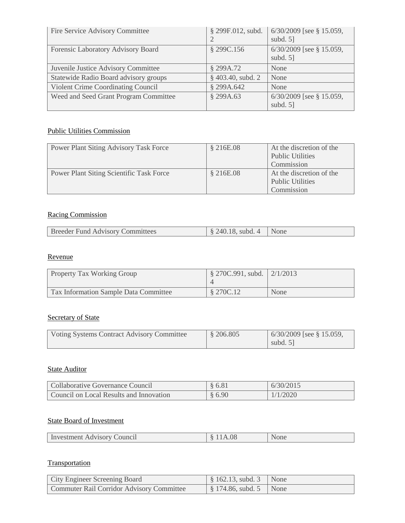| Fire Service Advisory Committee       | § 299F.012, subd.   | $6/30/2009$ [see § 15.059,<br>subd. $5$ ] |
|---------------------------------------|---------------------|-------------------------------------------|
| Forensic Laboratory Advisory Board    | § 299C.156          | $6/30/2009$ [see § 15.059,<br>subd. $5$ ] |
| Juvenile Justice Advisory Committee   | § 299A.72           | None                                      |
| Statewide Radio Board advisory groups | $§$ 403.40, subd. 2 | None                                      |
| Violent Crime Coordinating Council    | § 299A.642          | None                                      |
| Weed and Seed Grant Program Committee | § 299A.63           | $6/30/2009$ [see § 15.059,<br>subd. $5$ ] |

## Public Utilities Commission

| <b>Power Plant Siting Advisory Task Force</b>   | § 216E.08 | At the discretion of the<br><b>Public Utilities</b> |
|-------------------------------------------------|-----------|-----------------------------------------------------|
|                                                 |           | Commission                                          |
| <b>Power Plant Siting Scientific Task Force</b> | § 216E.08 | At the discretion of the                            |
|                                                 |           | <b>Public Utilities</b>                             |
|                                                 |           | Commission                                          |

# Racing Commission

| <b>Breeder Fund Advisory Committees</b> | $\frac{8240.18 \text{ subd. } 4}{$ |  |
|-----------------------------------------|------------------------------------|--|
|                                         |                                    |  |

## Revenue

| <b>Property Tax Working Group</b>     | $\frac{1}{2}$ 270C.991, subd.   2/1/2013 |      |
|---------------------------------------|------------------------------------------|------|
| Tax Information Sample Data Committee | § 270C.12                                | None |

# Secretary of State

| Voting Systems Contract Advisory Committee | \$206.805 | $\vert$ 6/30/2009 [see § 15.059, |
|--------------------------------------------|-----------|----------------------------------|
|                                            |           | subd. $5$ ]                      |

# **State Auditor**

| Collaborative Governance Council        | § 6.81 | 6/30/2015 |
|-----------------------------------------|--------|-----------|
| Council on Local Results and Innovation | § 6.90 | 1/1/2020  |

# State Board of Investment

| чис.<br>"THEFIL AUVIS.<br>. <i>. .</i><br>_______ | _____ |
|---------------------------------------------------|-------|
|---------------------------------------------------|-------|

# **Transportation**

| City Engineer Screening Board             | $\frac{1}{2}$ \$ 162.13, subd. 3 None               |  |
|-------------------------------------------|-----------------------------------------------------|--|
| Commuter Rail Corridor Advisory Committee | $\frac{1}{2}$ \$ 174.86, subd. 5 $\frac{1}{2}$ None |  |